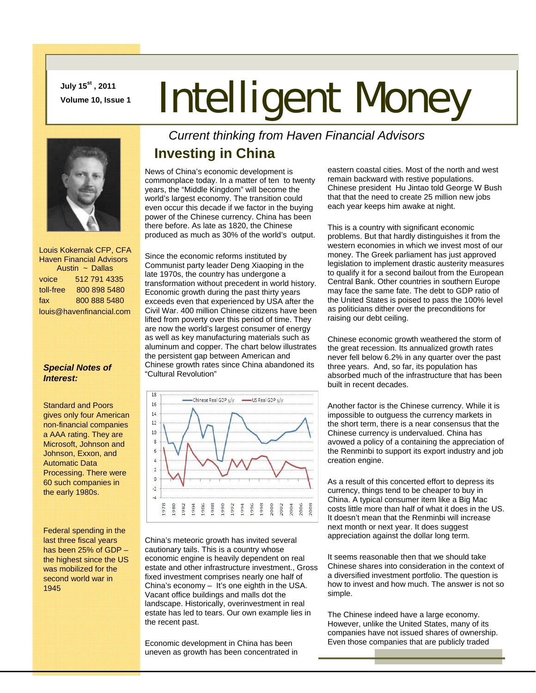**July 15st , 2011** 

## **July 15<sup>c</sup>, 2011**<br>Volume 10, Issue 1 **Intelligent Money**



 Louis Kokernak CFP, CFA Haven Financial Advisors Austin ~ Dallas voice 512 791 4335 toll-free 800 898 5480 fax 800 888 5480 louis@havenfinancial.com

## *Special Notes of Interest:*

Standard and Poors gives only four American non-financial companies a AAA rating. They are Microsoft, Johnson and Johnson, Exxon, and Automatic Data Processing. There were 60 such companies in the early 1980s.

Federal spending in the last three fiscal years has been 25% of GDP – the highest since the US was mobilized for the second world war in 1945

*Current thinking from Haven Financial Advisors* 

## **Investing in China**

News of China's economic development is commonplace today. In a matter of ten to twenty years, the "Middle Kingdom" will become the world's largest economy. The transition could even occur this decade if we factor in the buying power of the Chinese currency. China has been there before. As late as 1820, the Chinese produced as much as 30% of the world's output.

Since the economic reforms instituted by Communist party leader Deng Xiaoping in the late 1970s, the country has undergone a transformation without precedent in world history. Economic growth during the past thirty years exceeds even that experienced by USA after the Civil War. 400 million Chinese citizens have been lifted from poverty over this period of time. They are now the world's largest consumer of energy as well as key manufacturing materials such as aluminum and copper. The chart below illustrates the persistent gap between American and Chinese growth rates since China abandoned its "Cultural Revolution"



China's meteoric growth has invited several cautionary tails. This is a country whose economic engine is heavily dependent on real estate and other infrastructure investment., Gross fixed investment comprises nearly one half of China's economy – It's one eighth in the USA. Vacant office buildings and malls dot the landscape. Historically, overinvestment in real estate has led to tears. Our own example lies in the recent past.

Economic development in China has been uneven as growth has been concentrated in eastern coastal cities. Most of the north and west remain backward with restive populations. Chinese president Hu Jintao told George W Bush that that the need to create 25 million new jobs each year keeps him awake at night.

This is a country with significant economic problems. But that hardly distinguishes it from the western economies in which we invest most of our money. The Greek parliament has just approved legislation to implement drastic austerity measures to qualify it for a second bailout from the European Central Bank. Other countries in southern Europe may face the same fate. The debt to GDP ratio of the United States is poised to pass the 100% level as politicians dither over the preconditions for raising our debt ceiling.

Chinese economic growth weathered the storm of the great recession. Its annualized growth rates never fell below 6.2% in any quarter over the past three years. And, so far, its population has absorbed much of the infrastructure that has been built in recent decades.

Another factor is the Chinese currency. While it is impossible to outguess the currency markets in the short term, there is a near consensus that the Chinese currency is undervalued. China has avowed a policy of a containing the appreciation of the Renminbi to support its export industry and job creation engine.

As a result of this concerted effort to depress its currency, things tend to be cheaper to buy in China. A typical consumer item like a Big Mac costs little more than half of what it does in the US. It doesn't mean that the Renminbi will increase next month or next year. It does suggest appreciation against the dollar long term.

It seems reasonable then that we should take Chinese shares into consideration in the context of a diversified investment portfolio. The question is how to invest and how much. The answer is not so simple.

The Chinese indeed have a large economy. However, unlike the United States, many of its companies have not issued shares of ownership. Even those companies that are publicly traded